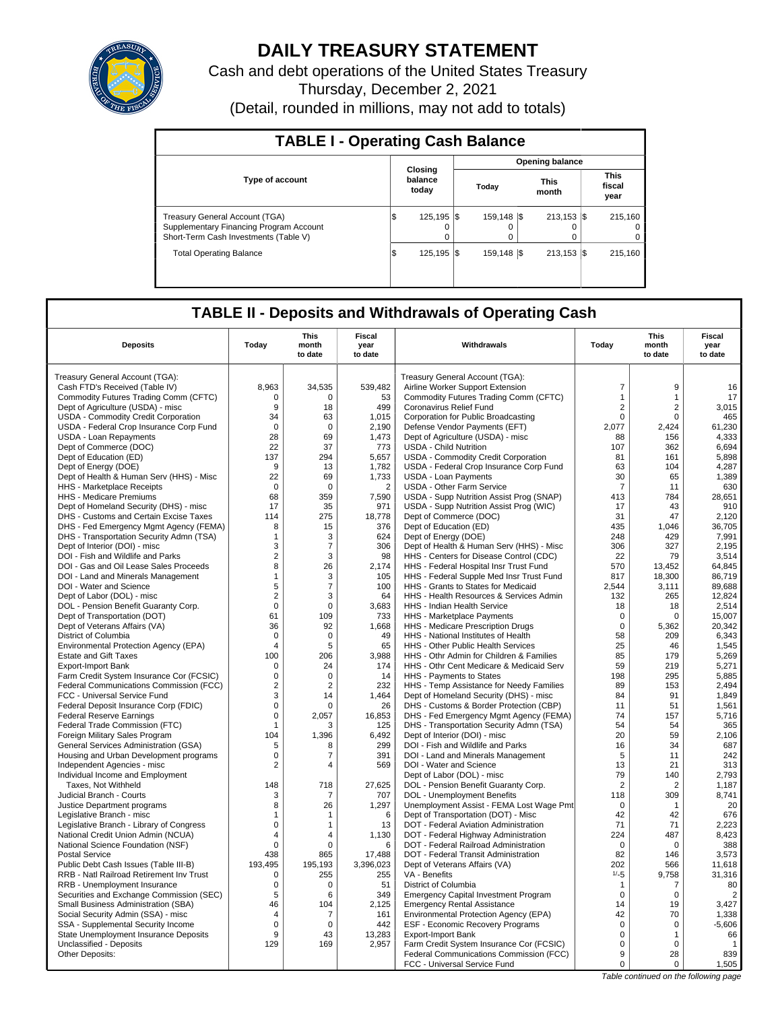

# **DAILY TREASURY STATEMENT**

Cash and debt operations of the United States Treasury Thursday, December 2, 2021 (Detail, rounded in millions, may not add to totals)

| <b>TABLE I - Operating Cash Balance</b>                                                                                   |     |                             |  |                   |  |                           |  |                               |  |  |  |
|---------------------------------------------------------------------------------------------------------------------------|-----|-----------------------------|--|-------------------|--|---------------------------|--|-------------------------------|--|--|--|
|                                                                                                                           |     |                             |  |                   |  | <b>Opening balance</b>    |  |                               |  |  |  |
| <b>Type of account</b>                                                                                                    |     | Closing<br>balance<br>today |  | Today             |  | <b>This</b><br>month      |  | <b>This</b><br>fiscal<br>year |  |  |  |
| <b>Treasury General Account (TGA)</b><br>Supplementary Financing Program Account<br>Short-Term Cash Investments (Table V) | 1\$ | 125.195   \$<br>$\Omega$    |  | 159.148   \$<br>0 |  | $213.153$ $\sqrt{5}$<br>0 |  | 215.160<br>$\Omega$<br>0      |  |  |  |
| <b>Total Operating Balance</b>                                                                                            | l\$ | 125.195   \$                |  | 159.148   \$      |  | $213.153$ $\sqrt{5}$      |  | 215.160                       |  |  |  |

## **TABLE II - Deposits and Withdrawals of Operating Cash**

| Treasury General Account (TGA):<br>Treasury General Account (TGA):<br>$\overline{7}$<br>9<br>Cash FTD's Received (Table IV)<br>8,963<br>34,535<br>539,482<br>Airline Worker Support Extension<br>Commodity Futures Trading Comm (CFTC)<br>Commodity Futures Trading Comm (CFTC)<br>$\mathbf{1}$<br>$\Omega$<br>$\Omega$<br>53<br>$\mathbf{1}$<br>Dept of Agriculture (USDA) - misc<br>9<br>18<br>499<br><b>Coronavirus Relief Fund</b><br>$\overline{2}$<br>$\overline{2}$<br>$\mathbf 0$<br>USDA - Commodity Credit Corporation<br>34<br>63<br>1,015<br>Corporation for Public Broadcasting<br>0<br>USDA - Federal Crop Insurance Corp Fund<br>$\mathbf 0$<br>$\mathbf 0$<br>2,190<br>Defense Vendor Payments (EFT)<br>2,077<br>2,424<br>28<br>69<br>USDA - Loan Repayments<br>1,473<br>Dept of Agriculture (USDA) - misc<br>88<br>156<br>Dept of Commerce (DOC)<br>22<br>37<br>773<br><b>USDA - Child Nutrition</b><br>107<br>362<br>137<br>5.657<br>Dept of Education (ED)<br>294<br><b>USDA - Commodity Credit Corporation</b><br>81<br>161<br>Dept of Energy (DOE)<br>9<br>13<br>1,782<br>USDA - Federal Crop Insurance Corp Fund<br>63<br>104<br>30<br>Dept of Health & Human Serv (HHS) - Misc<br>22<br>69<br>1,733<br><b>USDA - Loan Payments</b><br>65<br>HHS - Marketplace Receipts<br>$\mathsf 0$<br>$\mathbf 0$<br>$\overline{2}$<br><b>USDA - Other Farm Service</b><br>$\overline{7}$<br>11<br>68<br>359<br>7,590<br>USDA - Supp Nutrition Assist Prog (SNAP)<br>413<br>784<br><b>HHS</b> - Medicare Premiums<br>Dept of Homeland Security (DHS) - misc<br>17<br>USDA - Supp Nutrition Assist Prog (WIC)<br>43<br>35<br>971<br>17<br>Dept of Commerce (DOC)<br>DHS - Customs and Certain Excise Taxes<br>114<br>275<br>18,778<br>31<br>47<br>Dept of Education (ED)<br>8<br>435<br>1,046<br>DHS - Fed Emergency Mgmt Agency (FEMA)<br>15<br>376<br>DHS - Transportation Security Admn (TSA)<br>624<br>Dept of Energy (DOE)<br>248<br>429<br>3<br>$\mathbf 1$<br>Dept of Interior (DOI) - misc<br>3<br>7<br>306<br>Dept of Health & Human Serv (HHS) - Misc<br>306<br>327 | <b>Fiscal</b><br>year<br>to date |
|----------------------------------------------------------------------------------------------------------------------------------------------------------------------------------------------------------------------------------------------------------------------------------------------------------------------------------------------------------------------------------------------------------------------------------------------------------------------------------------------------------------------------------------------------------------------------------------------------------------------------------------------------------------------------------------------------------------------------------------------------------------------------------------------------------------------------------------------------------------------------------------------------------------------------------------------------------------------------------------------------------------------------------------------------------------------------------------------------------------------------------------------------------------------------------------------------------------------------------------------------------------------------------------------------------------------------------------------------------------------------------------------------------------------------------------------------------------------------------------------------------------------------------------------------------------------------------------------------------------------------------------------------------------------------------------------------------------------------------------------------------------------------------------------------------------------------------------------------------------------------------------------------------------------------------------------------------------------------------------------------------------------------------------------------------------------------------------|----------------------------------|
|                                                                                                                                                                                                                                                                                                                                                                                                                                                                                                                                                                                                                                                                                                                                                                                                                                                                                                                                                                                                                                                                                                                                                                                                                                                                                                                                                                                                                                                                                                                                                                                                                                                                                                                                                                                                                                                                                                                                                                                                                                                                                        |                                  |
|                                                                                                                                                                                                                                                                                                                                                                                                                                                                                                                                                                                                                                                                                                                                                                                                                                                                                                                                                                                                                                                                                                                                                                                                                                                                                                                                                                                                                                                                                                                                                                                                                                                                                                                                                                                                                                                                                                                                                                                                                                                                                        | 16                               |
|                                                                                                                                                                                                                                                                                                                                                                                                                                                                                                                                                                                                                                                                                                                                                                                                                                                                                                                                                                                                                                                                                                                                                                                                                                                                                                                                                                                                                                                                                                                                                                                                                                                                                                                                                                                                                                                                                                                                                                                                                                                                                        | 17                               |
|                                                                                                                                                                                                                                                                                                                                                                                                                                                                                                                                                                                                                                                                                                                                                                                                                                                                                                                                                                                                                                                                                                                                                                                                                                                                                                                                                                                                                                                                                                                                                                                                                                                                                                                                                                                                                                                                                                                                                                                                                                                                                        | 3,015                            |
|                                                                                                                                                                                                                                                                                                                                                                                                                                                                                                                                                                                                                                                                                                                                                                                                                                                                                                                                                                                                                                                                                                                                                                                                                                                                                                                                                                                                                                                                                                                                                                                                                                                                                                                                                                                                                                                                                                                                                                                                                                                                                        | 465                              |
|                                                                                                                                                                                                                                                                                                                                                                                                                                                                                                                                                                                                                                                                                                                                                                                                                                                                                                                                                                                                                                                                                                                                                                                                                                                                                                                                                                                                                                                                                                                                                                                                                                                                                                                                                                                                                                                                                                                                                                                                                                                                                        | 61,230                           |
|                                                                                                                                                                                                                                                                                                                                                                                                                                                                                                                                                                                                                                                                                                                                                                                                                                                                                                                                                                                                                                                                                                                                                                                                                                                                                                                                                                                                                                                                                                                                                                                                                                                                                                                                                                                                                                                                                                                                                                                                                                                                                        | 4,333                            |
|                                                                                                                                                                                                                                                                                                                                                                                                                                                                                                                                                                                                                                                                                                                                                                                                                                                                                                                                                                                                                                                                                                                                                                                                                                                                                                                                                                                                                                                                                                                                                                                                                                                                                                                                                                                                                                                                                                                                                                                                                                                                                        | 6,694                            |
|                                                                                                                                                                                                                                                                                                                                                                                                                                                                                                                                                                                                                                                                                                                                                                                                                                                                                                                                                                                                                                                                                                                                                                                                                                                                                                                                                                                                                                                                                                                                                                                                                                                                                                                                                                                                                                                                                                                                                                                                                                                                                        | 5.898                            |
|                                                                                                                                                                                                                                                                                                                                                                                                                                                                                                                                                                                                                                                                                                                                                                                                                                                                                                                                                                                                                                                                                                                                                                                                                                                                                                                                                                                                                                                                                                                                                                                                                                                                                                                                                                                                                                                                                                                                                                                                                                                                                        | 4,287                            |
|                                                                                                                                                                                                                                                                                                                                                                                                                                                                                                                                                                                                                                                                                                                                                                                                                                                                                                                                                                                                                                                                                                                                                                                                                                                                                                                                                                                                                                                                                                                                                                                                                                                                                                                                                                                                                                                                                                                                                                                                                                                                                        | 1.389                            |
|                                                                                                                                                                                                                                                                                                                                                                                                                                                                                                                                                                                                                                                                                                                                                                                                                                                                                                                                                                                                                                                                                                                                                                                                                                                                                                                                                                                                                                                                                                                                                                                                                                                                                                                                                                                                                                                                                                                                                                                                                                                                                        | 630                              |
|                                                                                                                                                                                                                                                                                                                                                                                                                                                                                                                                                                                                                                                                                                                                                                                                                                                                                                                                                                                                                                                                                                                                                                                                                                                                                                                                                                                                                                                                                                                                                                                                                                                                                                                                                                                                                                                                                                                                                                                                                                                                                        | 28.651                           |
|                                                                                                                                                                                                                                                                                                                                                                                                                                                                                                                                                                                                                                                                                                                                                                                                                                                                                                                                                                                                                                                                                                                                                                                                                                                                                                                                                                                                                                                                                                                                                                                                                                                                                                                                                                                                                                                                                                                                                                                                                                                                                        | 910                              |
|                                                                                                                                                                                                                                                                                                                                                                                                                                                                                                                                                                                                                                                                                                                                                                                                                                                                                                                                                                                                                                                                                                                                                                                                                                                                                                                                                                                                                                                                                                                                                                                                                                                                                                                                                                                                                                                                                                                                                                                                                                                                                        | 2,120                            |
|                                                                                                                                                                                                                                                                                                                                                                                                                                                                                                                                                                                                                                                                                                                                                                                                                                                                                                                                                                                                                                                                                                                                                                                                                                                                                                                                                                                                                                                                                                                                                                                                                                                                                                                                                                                                                                                                                                                                                                                                                                                                                        | 36,705                           |
|                                                                                                                                                                                                                                                                                                                                                                                                                                                                                                                                                                                                                                                                                                                                                                                                                                                                                                                                                                                                                                                                                                                                                                                                                                                                                                                                                                                                                                                                                                                                                                                                                                                                                                                                                                                                                                                                                                                                                                                                                                                                                        | 7,991                            |
|                                                                                                                                                                                                                                                                                                                                                                                                                                                                                                                                                                                                                                                                                                                                                                                                                                                                                                                                                                                                                                                                                                                                                                                                                                                                                                                                                                                                                                                                                                                                                                                                                                                                                                                                                                                                                                                                                                                                                                                                                                                                                        | 2,195                            |
| $\overline{2}$<br>DOI - Fish and Wildlife and Parks<br>3<br>HHS - Centers for Disease Control (CDC)<br>22<br>79<br>98                                                                                                                                                                                                                                                                                                                                                                                                                                                                                                                                                                                                                                                                                                                                                                                                                                                                                                                                                                                                                                                                                                                                                                                                                                                                                                                                                                                                                                                                                                                                                                                                                                                                                                                                                                                                                                                                                                                                                                  | 3,514                            |
| DOI - Gas and Oil Lease Sales Proceeds<br>8<br>26<br>2,174<br>HHS - Federal Hospital Insr Trust Fund<br>570<br>13,452                                                                                                                                                                                                                                                                                                                                                                                                                                                                                                                                                                                                                                                                                                                                                                                                                                                                                                                                                                                                                                                                                                                                                                                                                                                                                                                                                                                                                                                                                                                                                                                                                                                                                                                                                                                                                                                                                                                                                                  | 64,845                           |
| 817<br>18,300<br>DOI - Land and Minerals Management<br>$\mathbf{1}$<br>3<br>105<br>HHS - Federal Supple Med Insr Trust Fund                                                                                                                                                                                                                                                                                                                                                                                                                                                                                                                                                                                                                                                                                                                                                                                                                                                                                                                                                                                                                                                                                                                                                                                                                                                                                                                                                                                                                                                                                                                                                                                                                                                                                                                                                                                                                                                                                                                                                            | 86,719                           |
| DOI - Water and Science<br>5<br>7<br>100<br>HHS - Grants to States for Medicaid<br>2,544<br>3,111                                                                                                                                                                                                                                                                                                                                                                                                                                                                                                                                                                                                                                                                                                                                                                                                                                                                                                                                                                                                                                                                                                                                                                                                                                                                                                                                                                                                                                                                                                                                                                                                                                                                                                                                                                                                                                                                                                                                                                                      | 89,688                           |
| 2<br>Dept of Labor (DOL) - misc<br>3<br>64<br>HHS - Health Resources & Services Admin<br>132<br>265                                                                                                                                                                                                                                                                                                                                                                                                                                                                                                                                                                                                                                                                                                                                                                                                                                                                                                                                                                                                                                                                                                                                                                                                                                                                                                                                                                                                                                                                                                                                                                                                                                                                                                                                                                                                                                                                                                                                                                                    | 12.824                           |
| $\mathsf 0$<br>DOL - Pension Benefit Guaranty Corp.<br>0<br>3,683<br>HHS - Indian Health Service<br>18<br>18                                                                                                                                                                                                                                                                                                                                                                                                                                                                                                                                                                                                                                                                                                                                                                                                                                                                                                                                                                                                                                                                                                                                                                                                                                                                                                                                                                                                                                                                                                                                                                                                                                                                                                                                                                                                                                                                                                                                                                           | 2,514                            |
| Dept of Transportation (DOT)<br>61<br>109<br>733<br>HHS - Marketplace Payments<br>$\mathbf 0$<br>0                                                                                                                                                                                                                                                                                                                                                                                                                                                                                                                                                                                                                                                                                                                                                                                                                                                                                                                                                                                                                                                                                                                                                                                                                                                                                                                                                                                                                                                                                                                                                                                                                                                                                                                                                                                                                                                                                                                                                                                     | 15,007                           |
| $\mathsf 0$<br>Dept of Veterans Affairs (VA)<br>36<br>92<br>1,668<br>HHS - Medicare Prescription Drugs<br>5,362                                                                                                                                                                                                                                                                                                                                                                                                                                                                                                                                                                                                                                                                                                                                                                                                                                                                                                                                                                                                                                                                                                                                                                                                                                                                                                                                                                                                                                                                                                                                                                                                                                                                                                                                                                                                                                                                                                                                                                        | 20,342                           |
| 49<br>58<br>209<br>District of Columbia<br>$\Omega$<br>$\Omega$<br>HHS - National Institutes of Health                                                                                                                                                                                                                                                                                                                                                                                                                                                                                                                                                                                                                                                                                                                                                                                                                                                                                                                                                                                                                                                                                                                                                                                                                                                                                                                                                                                                                                                                                                                                                                                                                                                                                                                                                                                                                                                                                                                                                                                 | 6,343                            |
| 25<br>Environmental Protection Agency (EPA)<br>65<br>HHS - Other Public Health Services<br>4<br>5<br>46                                                                                                                                                                                                                                                                                                                                                                                                                                                                                                                                                                                                                                                                                                                                                                                                                                                                                                                                                                                                                                                                                                                                                                                                                                                                                                                                                                                                                                                                                                                                                                                                                                                                                                                                                                                                                                                                                                                                                                                | 1,545                            |
| <b>Estate and Gift Taxes</b><br>100<br>206<br>3,988<br>HHS - Othr Admin for Children & Families<br>85<br>179                                                                                                                                                                                                                                                                                                                                                                                                                                                                                                                                                                                                                                                                                                                                                                                                                                                                                                                                                                                                                                                                                                                                                                                                                                                                                                                                                                                                                                                                                                                                                                                                                                                                                                                                                                                                                                                                                                                                                                           | 5,269                            |
| 59<br>219<br><b>Export-Import Bank</b><br>0<br>24<br>174<br>HHS - Othr Cent Medicare & Medicaid Serv                                                                                                                                                                                                                                                                                                                                                                                                                                                                                                                                                                                                                                                                                                                                                                                                                                                                                                                                                                                                                                                                                                                                                                                                                                                                                                                                                                                                                                                                                                                                                                                                                                                                                                                                                                                                                                                                                                                                                                                   | 5,271                            |
| $\mathbf 0$<br>HHS - Payments to States<br>198<br>295<br>Farm Credit System Insurance Cor (FCSIC)<br>$\Omega$<br>14                                                                                                                                                                                                                                                                                                                                                                                                                                                                                                                                                                                                                                                                                                                                                                                                                                                                                                                                                                                                                                                                                                                                                                                                                                                                                                                                                                                                                                                                                                                                                                                                                                                                                                                                                                                                                                                                                                                                                                    | 5,885                            |
| Federal Communications Commission (FCC)<br>$\overline{2}$<br>232<br>HHS - Temp Assistance for Needy Families<br>89<br>153<br>2                                                                                                                                                                                                                                                                                                                                                                                                                                                                                                                                                                                                                                                                                                                                                                                                                                                                                                                                                                                                                                                                                                                                                                                                                                                                                                                                                                                                                                                                                                                                                                                                                                                                                                                                                                                                                                                                                                                                                         | 2,494                            |
| 3<br>Dept of Homeland Security (DHS) - misc<br>91<br>FCC - Universal Service Fund<br>1,464<br>84<br>14                                                                                                                                                                                                                                                                                                                                                                                                                                                                                                                                                                                                                                                                                                                                                                                                                                                                                                                                                                                                                                                                                                                                                                                                                                                                                                                                                                                                                                                                                                                                                                                                                                                                                                                                                                                                                                                                                                                                                                                 | 1,849                            |
| $\mathbf 0$<br>Federal Deposit Insurance Corp (FDIC)<br>$\Omega$<br>26<br>DHS - Customs & Border Protection (CBP)<br>11<br>51                                                                                                                                                                                                                                                                                                                                                                                                                                                                                                                                                                                                                                                                                                                                                                                                                                                                                                                                                                                                                                                                                                                                                                                                                                                                                                                                                                                                                                                                                                                                                                                                                                                                                                                                                                                                                                                                                                                                                          | 1,561                            |
| $\mathbf 0$<br><b>Federal Reserve Earnings</b><br>2,057<br>16,853<br>DHS - Fed Emergency Mgmt Agency (FEMA)<br>74<br>157<br>1                                                                                                                                                                                                                                                                                                                                                                                                                                                                                                                                                                                                                                                                                                                                                                                                                                                                                                                                                                                                                                                                                                                                                                                                                                                                                                                                                                                                                                                                                                                                                                                                                                                                                                                                                                                                                                                                                                                                                          | 5,716                            |
| Federal Trade Commission (FTC)<br>125<br>DHS - Transportation Security Admn (TSA)<br>54<br>54<br>3<br>20<br>59                                                                                                                                                                                                                                                                                                                                                                                                                                                                                                                                                                                                                                                                                                                                                                                                                                                                                                                                                                                                                                                                                                                                                                                                                                                                                                                                                                                                                                                                                                                                                                                                                                                                                                                                                                                                                                                                                                                                                                         | 365                              |
| Foreign Military Sales Program<br>104<br>1.396<br>6.492<br>Dept of Interior (DOI) - misc<br>299<br>16<br>34                                                                                                                                                                                                                                                                                                                                                                                                                                                                                                                                                                                                                                                                                                                                                                                                                                                                                                                                                                                                                                                                                                                                                                                                                                                                                                                                                                                                                                                                                                                                                                                                                                                                                                                                                                                                                                                                                                                                                                            | 2.106                            |
| 5<br>DOI - Fish and Wildlife and Parks<br>General Services Administration (GSA)<br>8<br>$\mathbf 0$<br>391<br>DOI - Land and Minerals Management<br>5<br>7<br>11                                                                                                                                                                                                                                                                                                                                                                                                                                                                                                                                                                                                                                                                                                                                                                                                                                                                                                                                                                                                                                                                                                                                                                                                                                                                                                                                                                                                                                                                                                                                                                                                                                                                                                                                                                                                                                                                                                                       | 687<br>242                       |
| Housing and Urban Development programs<br>2<br>569<br>DOI - Water and Science<br>13<br>21<br>Independent Agencies - misc<br>4                                                                                                                                                                                                                                                                                                                                                                                                                                                                                                                                                                                                                                                                                                                                                                                                                                                                                                                                                                                                                                                                                                                                                                                                                                                                                                                                                                                                                                                                                                                                                                                                                                                                                                                                                                                                                                                                                                                                                          | 313                              |
| Dept of Labor (DOL) - misc<br>79<br>Individual Income and Employment<br>140                                                                                                                                                                                                                                                                                                                                                                                                                                                                                                                                                                                                                                                                                                                                                                                                                                                                                                                                                                                                                                                                                                                                                                                                                                                                                                                                                                                                                                                                                                                                                                                                                                                                                                                                                                                                                                                                                                                                                                                                            | 2,793                            |
| 148<br>27,625<br>DOL - Pension Benefit Guaranty Corp.<br>$\overline{2}$<br>Taxes, Not Withheld<br>718<br>$\overline{2}$                                                                                                                                                                                                                                                                                                                                                                                                                                                                                                                                                                                                                                                                                                                                                                                                                                                                                                                                                                                                                                                                                                                                                                                                                                                                                                                                                                                                                                                                                                                                                                                                                                                                                                                                                                                                                                                                                                                                                                | 1,187                            |
| 707<br><b>DOL</b> - Unemployment Benefits<br>118<br>309<br>Judicial Branch - Courts<br>3<br>7                                                                                                                                                                                                                                                                                                                                                                                                                                                                                                                                                                                                                                                                                                                                                                                                                                                                                                                                                                                                                                                                                                                                                                                                                                                                                                                                                                                                                                                                                                                                                                                                                                                                                                                                                                                                                                                                                                                                                                                          | 8,741                            |
| Justice Department programs<br>8<br>26<br>1,297<br>Unemployment Assist - FEMA Lost Wage Pmt<br>$\mathbf 0$<br>$\mathbf{1}$                                                                                                                                                                                                                                                                                                                                                                                                                                                                                                                                                                                                                                                                                                                                                                                                                                                                                                                                                                                                                                                                                                                                                                                                                                                                                                                                                                                                                                                                                                                                                                                                                                                                                                                                                                                                                                                                                                                                                             | 20                               |
| 6<br>42<br>42<br>Dept of Transportation (DOT) - Misc<br>Legislative Branch - misc<br>-1<br>1                                                                                                                                                                                                                                                                                                                                                                                                                                                                                                                                                                                                                                                                                                                                                                                                                                                                                                                                                                                                                                                                                                                                                                                                                                                                                                                                                                                                                                                                                                                                                                                                                                                                                                                                                                                                                                                                                                                                                                                           | 676                              |
| Legislative Branch - Library of Congress<br>$\mathbf 0$<br>13<br>DOT - Federal Aviation Administration<br>71<br>71<br>1                                                                                                                                                                                                                                                                                                                                                                                                                                                                                                                                                                                                                                                                                                                                                                                                                                                                                                                                                                                                                                                                                                                                                                                                                                                                                                                                                                                                                                                                                                                                                                                                                                                                                                                                                                                                                                                                                                                                                                | 2,223                            |
| 487<br>National Credit Union Admin (NCUA)<br>4<br>1,130<br>DOT - Federal Highway Administration<br>224<br>4                                                                                                                                                                                                                                                                                                                                                                                                                                                                                                                                                                                                                                                                                                                                                                                                                                                                                                                                                                                                                                                                                                                                                                                                                                                                                                                                                                                                                                                                                                                                                                                                                                                                                                                                                                                                                                                                                                                                                                            | 8,423                            |
| National Science Foundation (NSF)<br>$\mathbf 0$<br>$\Omega$<br>6<br>DOT - Federal Railroad Administration<br>$\Omega$<br>$\Omega$                                                                                                                                                                                                                                                                                                                                                                                                                                                                                                                                                                                                                                                                                                                                                                                                                                                                                                                                                                                                                                                                                                                                                                                                                                                                                                                                                                                                                                                                                                                                                                                                                                                                                                                                                                                                                                                                                                                                                     | 388                              |
| 146<br><b>Postal Service</b><br>438<br>865<br>17,488<br>DOT - Federal Transit Administration<br>82                                                                                                                                                                                                                                                                                                                                                                                                                                                                                                                                                                                                                                                                                                                                                                                                                                                                                                                                                                                                                                                                                                                                                                                                                                                                                                                                                                                                                                                                                                                                                                                                                                                                                                                                                                                                                                                                                                                                                                                     | 3.573                            |
| Public Debt Cash Issues (Table III-B)<br>193,495<br>195,193<br>3,396,023<br>Dept of Veterans Affairs (VA)<br>202<br>566                                                                                                                                                                                                                                                                                                                                                                                                                                                                                                                                                                                                                                                                                                                                                                                                                                                                                                                                                                                                                                                                                                                                                                                                                                                                                                                                                                                                                                                                                                                                                                                                                                                                                                                                                                                                                                                                                                                                                                | 11,618                           |
| 9,758<br>RRB - Natl Railroad Retirement Inv Trust<br>0<br>255<br>255<br>VA - Benefits<br>$1/-5$                                                                                                                                                                                                                                                                                                                                                                                                                                                                                                                                                                                                                                                                                                                                                                                                                                                                                                                                                                                                                                                                                                                                                                                                                                                                                                                                                                                                                                                                                                                                                                                                                                                                                                                                                                                                                                                                                                                                                                                        | 31,316                           |
| RRB - Unemployment Insurance<br>0<br>51<br>District of Columbia<br>$\mathbf{1}$<br>$\mathbf 0$<br>7                                                                                                                                                                                                                                                                                                                                                                                                                                                                                                                                                                                                                                                                                                                                                                                                                                                                                                                                                                                                                                                                                                                                                                                                                                                                                                                                                                                                                                                                                                                                                                                                                                                                                                                                                                                                                                                                                                                                                                                    | 80                               |
| 5<br>349<br>$\mathbf 0$<br>Securities and Exchange Commission (SEC)<br>6<br><b>Emergency Capital Investment Program</b><br>$\Omega$                                                                                                                                                                                                                                                                                                                                                                                                                                                                                                                                                                                                                                                                                                                                                                                                                                                                                                                                                                                                                                                                                                                                                                                                                                                                                                                                                                                                                                                                                                                                                                                                                                                                                                                                                                                                                                                                                                                                                    | $\overline{2}$                   |
| Small Business Administration (SBA)<br>46<br>2,125<br><b>Emergency Rental Assistance</b><br>14<br>19<br>104                                                                                                                                                                                                                                                                                                                                                                                                                                                                                                                                                                                                                                                                                                                                                                                                                                                                                                                                                                                                                                                                                                                                                                                                                                                                                                                                                                                                                                                                                                                                                                                                                                                                                                                                                                                                                                                                                                                                                                            | 3,427                            |
| 42<br>Social Security Admin (SSA) - misc<br>$\overline{4}$<br>7<br>161<br>Environmental Protection Agency (EPA)<br>70                                                                                                                                                                                                                                                                                                                                                                                                                                                                                                                                                                                                                                                                                                                                                                                                                                                                                                                                                                                                                                                                                                                                                                                                                                                                                                                                                                                                                                                                                                                                                                                                                                                                                                                                                                                                                                                                                                                                                                  | 1,338                            |
| $\mathsf 0$<br>442<br>ESF - Economic Recovery Programs<br>$\mathbf 0$<br>SSA - Supplemental Security Income<br>0<br>$\mathbf 0$                                                                                                                                                                                                                                                                                                                                                                                                                                                                                                                                                                                                                                                                                                                                                                                                                                                                                                                                                                                                                                                                                                                                                                                                                                                                                                                                                                                                                                                                                                                                                                                                                                                                                                                                                                                                                                                                                                                                                        | $-5,606$                         |
| State Unemployment Insurance Deposits<br>9<br>43<br>13,283<br><b>Export-Import Bank</b><br>$\mathbf 0$<br>1                                                                                                                                                                                                                                                                                                                                                                                                                                                                                                                                                                                                                                                                                                                                                                                                                                                                                                                                                                                                                                                                                                                                                                                                                                                                                                                                                                                                                                                                                                                                                                                                                                                                                                                                                                                                                                                                                                                                                                            | 66                               |
| Unclassified - Deposits<br>129<br>169<br>2,957<br>Farm Credit System Insurance Cor (FCSIC)<br>$\mathbf 0$<br>$\mathbf 0$                                                                                                                                                                                                                                                                                                                                                                                                                                                                                                                                                                                                                                                                                                                                                                                                                                                                                                                                                                                                                                                                                                                                                                                                                                                                                                                                                                                                                                                                                                                                                                                                                                                                                                                                                                                                                                                                                                                                                               | $\overline{1}$                   |
| 9<br><b>Other Deposits:</b><br>Federal Communications Commission (FCC)<br>28                                                                                                                                                                                                                                                                                                                                                                                                                                                                                                                                                                                                                                                                                                                                                                                                                                                                                                                                                                                                                                                                                                                                                                                                                                                                                                                                                                                                                                                                                                                                                                                                                                                                                                                                                                                                                                                                                                                                                                                                           | 839                              |
| FCC - Universal Service Fund<br>$\mathbf 0$<br>0                                                                                                                                                                                                                                                                                                                                                                                                                                                                                                                                                                                                                                                                                                                                                                                                                                                                                                                                                                                                                                                                                                                                                                                                                                                                                                                                                                                                                                                                                                                                                                                                                                                                                                                                                                                                                                                                                                                                                                                                                                       | 1,505                            |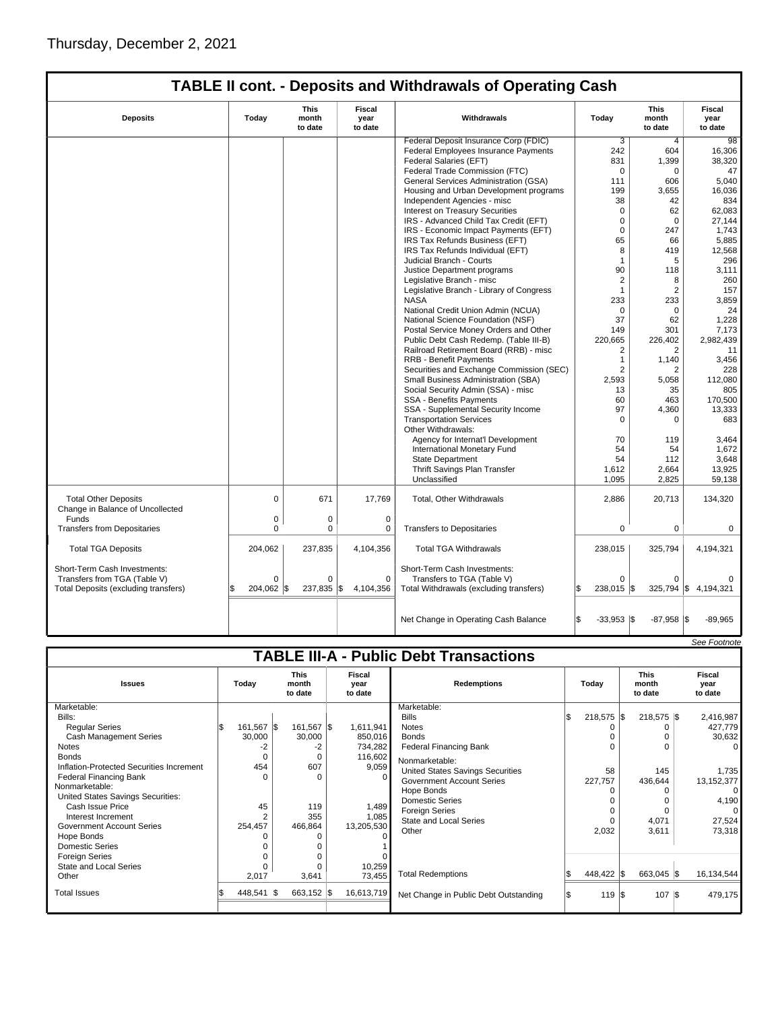|                                                                                                      |                        |                                 |                           | <b>TABLE II cont. - Deposits and Withdrawals of Operating Cash</b>                                    |                             |                          |                           |
|------------------------------------------------------------------------------------------------------|------------------------|---------------------------------|---------------------------|-------------------------------------------------------------------------------------------------------|-----------------------------|--------------------------|---------------------------|
| <b>Deposits</b>                                                                                      | Today                  | <b>This</b><br>month<br>to date | Fiscal<br>year<br>to date | Withdrawals                                                                                           | Today                       | This<br>month<br>to date | Fiscal<br>year<br>to date |
|                                                                                                      |                        |                                 |                           | Federal Deposit Insurance Corp (FDIC)                                                                 | 3                           | $\overline{4}$           | 98                        |
|                                                                                                      |                        |                                 |                           | Federal Employees Insurance Payments                                                                  | 242                         | 604                      | 16,306                    |
|                                                                                                      |                        |                                 |                           | Federal Salaries (EFT)                                                                                | 831                         | 1,399                    | 38,320                    |
|                                                                                                      |                        |                                 |                           | Federal Trade Commission (FTC)                                                                        | $\mathbf 0$                 | $\mathbf 0$              | 47                        |
|                                                                                                      |                        |                                 |                           | General Services Administration (GSA)                                                                 | 111                         | 606                      | 5.040                     |
|                                                                                                      |                        |                                 |                           | Housing and Urban Development programs                                                                | 199                         | 3,655                    | 16,036                    |
|                                                                                                      |                        |                                 |                           | Independent Agencies - misc                                                                           | 38                          | 42                       | 834                       |
|                                                                                                      |                        |                                 |                           | Interest on Treasury Securities                                                                       | $\mathbf 0$                 | 62                       | 62,083                    |
|                                                                                                      |                        |                                 |                           | IRS - Advanced Child Tax Credit (EFT)                                                                 | $\mathbf 0$                 | $\mathbf 0$              | 27.144                    |
|                                                                                                      |                        |                                 |                           | IRS - Economic Impact Payments (EFT)                                                                  | $\Omega$                    | 247                      | 1,743                     |
|                                                                                                      |                        |                                 |                           | IRS Tax Refunds Business (EFT)                                                                        | 65                          | 66                       | 5,885                     |
|                                                                                                      |                        |                                 |                           | IRS Tax Refunds Individual (EFT)                                                                      | 8                           | 419                      | 12,568                    |
|                                                                                                      |                        |                                 |                           | Judicial Branch - Courts                                                                              | $\mathbf{1}$                | 5                        | 296                       |
|                                                                                                      |                        |                                 |                           | Justice Department programs                                                                           | 90                          | 118                      | 3,111                     |
|                                                                                                      |                        |                                 |                           | Legislative Branch - misc                                                                             | $\overline{2}$              | 8                        | 260                       |
|                                                                                                      |                        |                                 |                           | Legislative Branch - Library of Congress                                                              | $\mathbf{1}$                | $\overline{2}$           | 157                       |
|                                                                                                      |                        |                                 |                           | <b>NASA</b>                                                                                           | 233                         | 233                      | 3,859                     |
|                                                                                                      |                        |                                 |                           | National Credit Union Admin (NCUA)                                                                    | $\Omega$                    | $\Omega$                 | 24                        |
|                                                                                                      |                        |                                 |                           | National Science Foundation (NSF)                                                                     | 37                          | 62                       | 1,228                     |
|                                                                                                      |                        |                                 |                           | Postal Service Money Orders and Other                                                                 | 149                         | 301                      | 7.173                     |
|                                                                                                      |                        |                                 |                           | Public Debt Cash Redemp. (Table III-B)                                                                | 220,665                     | 226,402                  | 2,982,439                 |
|                                                                                                      |                        |                                 |                           | Railroad Retirement Board (RRB) - misc<br><b>RRB - Benefit Payments</b>                               | 2<br>$\mathbf{1}$           | $\overline{2}$           | 11                        |
|                                                                                                      |                        |                                 |                           |                                                                                                       | $\overline{2}$              | 1,140<br>$\overline{2}$  | 3,456                     |
|                                                                                                      |                        |                                 |                           | Securities and Exchange Commission (SEC)<br>Small Business Administration (SBA)                       | 2,593                       | 5,058                    | 228<br>112,080            |
|                                                                                                      |                        |                                 |                           | Social Security Admin (SSA) - misc                                                                    | 13                          | 35                       | 805                       |
|                                                                                                      |                        |                                 |                           | <b>SSA - Benefits Payments</b>                                                                        | 60                          | 463                      | 170,500                   |
|                                                                                                      |                        |                                 |                           | SSA - Supplemental Security Income                                                                    | 97                          | 4,360                    | 13,333                    |
|                                                                                                      |                        |                                 |                           | <b>Transportation Services</b>                                                                        | $\Omega$                    | 0                        | 683                       |
|                                                                                                      |                        |                                 |                           | Other Withdrawals:                                                                                    |                             |                          |                           |
|                                                                                                      |                        |                                 |                           | Agency for Internat'l Development                                                                     | 70                          | 119                      | 3.464                     |
|                                                                                                      |                        |                                 |                           | International Monetary Fund                                                                           | 54                          | 54                       | 1,672                     |
|                                                                                                      |                        |                                 |                           | <b>State Department</b>                                                                               | 54                          | 112                      | 3,648                     |
|                                                                                                      |                        |                                 |                           | Thrift Savings Plan Transfer                                                                          | 1,612                       | 2,664                    | 13,925                    |
|                                                                                                      |                        |                                 |                           | Unclassified                                                                                          | 1,095                       | 2,825                    | 59,138                    |
| <b>Total Other Deposits</b><br>Change in Balance of Uncollected                                      | $\mathbf 0$            | 671                             | 17,769                    | Total, Other Withdrawals                                                                              | 2,886                       | 20,713                   | 134,320                   |
| Funds                                                                                                | 0                      | 0                               | $\pmb{0}$                 |                                                                                                       |                             |                          |                           |
| <b>Transfers from Depositaries</b>                                                                   | $\Omega$               | 0                               | 0                         | <b>Transfers to Depositaries</b>                                                                      | 0                           | 0                        | 0                         |
|                                                                                                      |                        |                                 |                           |                                                                                                       |                             |                          |                           |
| <b>Total TGA Deposits</b>                                                                            | 204,062                | 237,835                         | 4,104,356                 | <b>Total TGA Withdrawals</b>                                                                          | 238,015                     | 325,794                  | 4,194,321                 |
| Short-Term Cash Investments:<br>Transfers from TGA (Table V)<br>Total Deposits (excluding transfers) | $\Omega$<br>204,062 \$ | 0<br>237,835                    | 0<br>l\$<br>4,104,356     | Short-Term Cash Investments:<br>Transfers to TGA (Table V)<br>Total Withdrawals (excluding transfers) | $\Omega$<br>238.015 \\$     | $\Omega$                 | 325,794 \$4,194,321       |
|                                                                                                      |                        |                                 |                           | Net Change in Operating Cash Balance                                                                  | l\$<br>$-33,953$ $\sqrt{5}$ | $-87,958$ \\$            | $-89,965$                 |

|                                               |  |            |  |                                 |  |                           |                                       |  |                    |  |              |  | See Footnote                    |  |                           |
|-----------------------------------------------|--|------------|--|---------------------------------|--|---------------------------|---------------------------------------|--|--------------------|--|--------------|--|---------------------------------|--|---------------------------|
| <b>TABLE III-A - Public Debt Transactions</b> |  |            |  |                                 |  |                           |                                       |  |                    |  |              |  |                                 |  |                           |
| <b>Issues</b>                                 |  | Today      |  | <b>This</b><br>month<br>to date |  | Fiscal<br>year<br>to date |                                       |  | <b>Redemptions</b> |  | Today        |  | <b>This</b><br>month<br>to date |  | Fiscal<br>year<br>to date |
| Marketable:                                   |  |            |  |                                 |  |                           | Marketable:                           |  |                    |  |              |  |                                 |  |                           |
| Bills:                                        |  |            |  |                                 |  |                           | <b>Bills</b>                          |  | $218,575$ \$       |  | $218,575$ \$ |  | 2,416,987                       |  |                           |
| <b>Regular Series</b>                         |  | 161,567 \$ |  | 161,567 \$                      |  | 1,611,941                 | <b>Notes</b>                          |  |                    |  |              |  | 427,779                         |  |                           |
| <b>Cash Management Series</b>                 |  | 30,000     |  | 30,000                          |  | 850,016                   | <b>Bonds</b>                          |  | $\Omega$           |  |              |  | 30,632                          |  |                           |
| <b>Notes</b>                                  |  | -2         |  | -2                              |  | 734,282                   | <b>Federal Financing Bank</b>         |  | $\Omega$           |  | O            |  | 0                               |  |                           |
| <b>Bonds</b>                                  |  | $\Omega$   |  | 0                               |  | 116,602                   | Nonmarketable:                        |  |                    |  |              |  |                                 |  |                           |
| Inflation-Protected Securities Increment      |  | 454        |  | 607                             |  | 9,059                     | United States Savings Securities      |  | 58                 |  | 145          |  | 1,735                           |  |                           |
| <b>Federal Financing Bank</b>                 |  | n          |  | $\Omega$                        |  |                           | <b>Government Account Series</b>      |  | 227,757            |  | 436,644      |  | 13, 152, 377                    |  |                           |
| Nonmarketable:                                |  |            |  |                                 |  |                           | Hope Bonds                            |  | 0                  |  |              |  | $\Omega$                        |  |                           |
| United States Savings Securities:             |  |            |  |                                 |  |                           | Domestic Series                       |  |                    |  |              |  | 4,190                           |  |                           |
| Cash Issue Price                              |  | 45         |  | 119                             |  | 1,489                     | Foreign Series                        |  | $\Omega$           |  |              |  | $\Omega$                        |  |                           |
| Interest Increment                            |  | 2          |  | 355                             |  | 1,085                     | <b>State and Local Series</b>         |  | $\Omega$           |  | 4,071        |  | 27,524                          |  |                           |
| <b>Government Account Series</b>              |  | 254,457    |  | 466,864                         |  | 13,205,530                | Other                                 |  | 2,032              |  | 3,611        |  | 73,318                          |  |                           |
| Hope Bonds                                    |  |            |  | O                               |  |                           |                                       |  |                    |  |              |  |                                 |  |                           |
| Domestic Series                               |  |            |  |                                 |  |                           |                                       |  |                    |  |              |  |                                 |  |                           |
| <b>Foreign Series</b>                         |  |            |  | $\Omega$                        |  |                           |                                       |  |                    |  |              |  |                                 |  |                           |
| <b>State and Local Series</b>                 |  |            |  | O                               |  | 10,259                    |                                       |  |                    |  |              |  |                                 |  |                           |
| Other                                         |  | 2,017      |  | 3,641                           |  | 73,455                    | <b>Total Redemptions</b>              |  | 448,422 \$         |  | 663,045 \$   |  | 16,134,544                      |  |                           |
| <b>Total Issues</b>                           |  | 448,541 \$ |  | 663,152 \$                      |  | 16,613,719                | Net Change in Public Debt Outstanding |  | 119S               |  | $107$ \\$    |  | 479,175                         |  |                           |
|                                               |  |            |  |                                 |  |                           |                                       |  |                    |  |              |  |                                 |  |                           |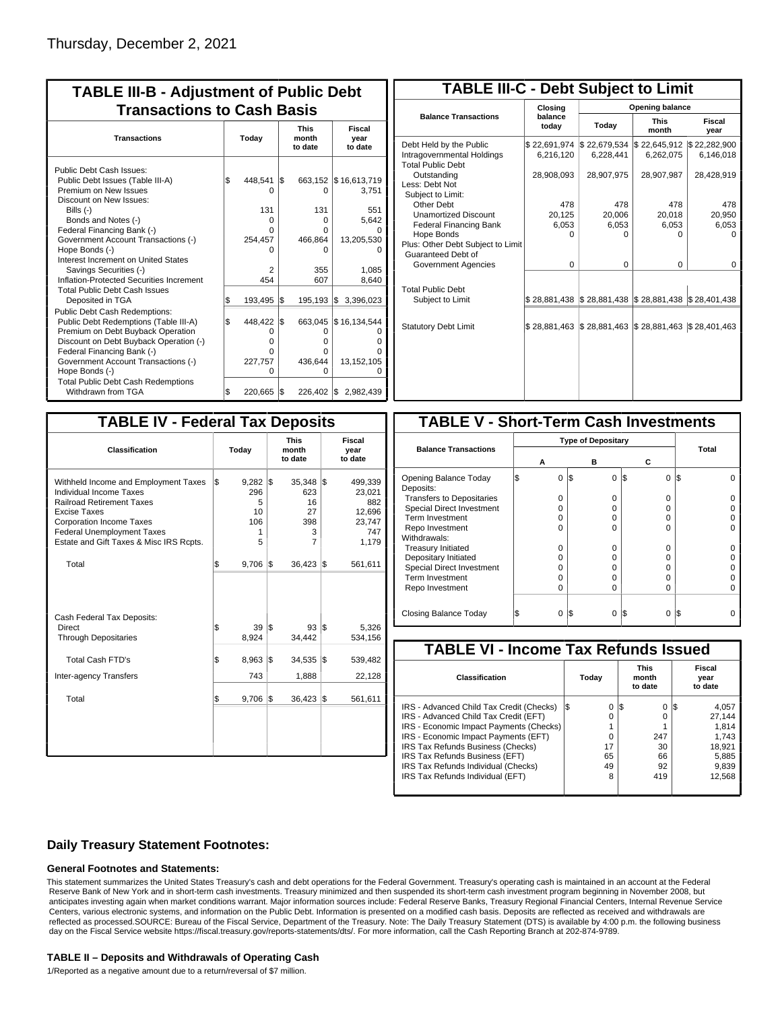| <b>TABLE III-B - Adjustment of Public Debt</b><br><b>Transactions to Cash Basis</b>                                                                                                                                                                                                                                                                                                                                                                                                                                                                                             |                |                                                                                           |                   |                                                                                                      |                                                                                                                   |  |  |  |  |
|---------------------------------------------------------------------------------------------------------------------------------------------------------------------------------------------------------------------------------------------------------------------------------------------------------------------------------------------------------------------------------------------------------------------------------------------------------------------------------------------------------------------------------------------------------------------------------|----------------|-------------------------------------------------------------------------------------------|-------------------|------------------------------------------------------------------------------------------------------|-------------------------------------------------------------------------------------------------------------------|--|--|--|--|
| <b>Transactions</b>                                                                                                                                                                                                                                                                                                                                                                                                                                                                                                                                                             |                | Today                                                                                     |                   | <b>This</b><br>month<br>to date                                                                      | Fiscal<br>year<br>to date                                                                                         |  |  |  |  |
| Public Debt Cash Issues:<br>Public Debt Issues (Table III-A)<br>Premium on New Issues<br>Discount on New Issues:<br>Bills $(-)$<br>Bonds and Notes (-)<br>Federal Financing Bank (-)<br>Government Account Transactions (-)<br>Hope Bonds (-)<br>Interest Increment on United States<br>Savings Securities (-)<br>Inflation-Protected Securities Increment<br><b>Total Public Debt Cash Issues</b><br>Deposited in TGA<br>Public Debt Cash Redemptions:<br>Public Debt Redemptions (Table III-A)<br>Premium on Debt Buyback Operation<br>Discount on Debt Buyback Operation (-) | \$<br>ß<br>l\$ | 448,541<br>O<br>131<br>O<br>U<br>254,457<br>n<br>2<br>454<br>193,495<br>448,422<br>0<br>O | I\$<br>1\$<br>l\$ | $\Omega$<br>131<br>0<br>O<br>466,864<br>O<br>355<br>607<br>$195,193$ $\sqrt{5}$<br>663,045<br>0<br>0 | 663,152   \$16,613,719<br>3,751<br>551<br>5,642<br>13,205,530<br>1,085<br>8,640<br>3,396,023<br>\$16,134,544<br>n |  |  |  |  |
| Federal Financing Bank (-)<br>Government Account Transactions (-)<br>Hope Bonds (-)<br><b>Total Public Debt Cash Redemptions</b><br>Withdrawn from TGA                                                                                                                                                                                                                                                                                                                                                                                                                          | l\$            | O<br>227,757<br>O<br>220,665                                                              | l\$               | 0<br>436,644<br>O<br>226,402 \$                                                                      | 13,152,105<br>2,982,439                                                                                           |  |  |  |  |

| <b>TABLE III-C - Debt Subject to Limit</b>                                        |                           |                                                   |                           |                           |  |  |  |  |  |  |
|-----------------------------------------------------------------------------------|---------------------------|---------------------------------------------------|---------------------------|---------------------------|--|--|--|--|--|--|
|                                                                                   | Closina                   |                                                   | Opening balance           |                           |  |  |  |  |  |  |
| <b>Balance Transactions</b>                                                       | balance<br>today          | Today                                             | <b>This</b><br>month      | Fiscal<br>year            |  |  |  |  |  |  |
| Debt Held by the Public<br>Intragovernmental Holdings<br><b>Total Public Debt</b> | \$22,691,974<br>6,216,120 | \$22,679,534<br>6,228,441                         | \$22,645,912<br>6,262,075 | \$22,282,900<br>6,146,018 |  |  |  |  |  |  |
| Outstanding<br>Less: Debt Not<br>Subject to Limit:                                | 28,908,093                | 28,907,975                                        | 28,907,987                | 28,428,919                |  |  |  |  |  |  |
| Other Debt                                                                        | 478                       | 478                                               | 478                       | 478                       |  |  |  |  |  |  |
| <b>Unamortized Discount</b>                                                       | 20,125                    | 20,006                                            | 20,018                    | 20,950                    |  |  |  |  |  |  |
| <b>Federal Financing Bank</b>                                                     | 6,053                     | 6,053                                             | 6,053                     | 6,053                     |  |  |  |  |  |  |
| Hope Bonds                                                                        | $\Omega$                  | O                                                 | U                         | O                         |  |  |  |  |  |  |
| Plus: Other Debt Subject to Limit<br>Guaranteed Debt of                           |                           |                                                   |                           |                           |  |  |  |  |  |  |
| Government Agencies                                                               | $\Omega$                  | $\Omega$                                          | $\Omega$                  | 0                         |  |  |  |  |  |  |
| <b>Total Public Debt</b><br>Subject to Limit                                      | \$28,881,438              | $\frac{1}{2}$ 28,881,438 $\frac{1}{2}$ 28,881,438 |                           | \$28,401,438              |  |  |  |  |  |  |
|                                                                                   |                           |                                                   |                           |                           |  |  |  |  |  |  |
| <b>Statutory Debt Limit</b>                                                       | \$28,881,463              | \$28,881,463                                      | \$28,881,463              | \$28,401,463              |  |  |  |  |  |  |
|                                                                                   |                           |                                                   |                           |                           |  |  |  |  |  |  |

| <b>TABLE IV - Federal Tax Deposits</b>                                                                                                                                                                                                               |     |                                               |     |                                            |     |                                                              |  |  |
|------------------------------------------------------------------------------------------------------------------------------------------------------------------------------------------------------------------------------------------------------|-----|-----------------------------------------------|-----|--------------------------------------------|-----|--------------------------------------------------------------|--|--|
| Classification                                                                                                                                                                                                                                       |     | Today                                         |     | <b>This</b><br>month<br>to date            |     | <b>Fiscal</b><br>year<br>to date                             |  |  |
| Withheld Income and Employment Taxes<br><b>Individual Income Taxes</b><br><b>Railroad Retirement Taxes</b><br><b>Excise Taxes</b><br><b>Corporation Income Taxes</b><br><b>Federal Unemployment Taxes</b><br>Estate and Gift Taxes & Misc IRS Rcpts. | l\$ | $9,282$ \$<br>296<br>5<br>10<br>106<br>1<br>5 |     | 35,348<br>623<br>16<br>27<br>398<br>3<br>7 | 1\$ | 499,339<br>23,021<br>882<br>12,696<br>23,747<br>747<br>1,179 |  |  |
| Total                                                                                                                                                                                                                                                | \$  | 9,706                                         | I\$ | 36,423                                     | 1\$ | 561,611                                                      |  |  |
| Cash Federal Tax Deposits:<br>Direct<br><b>Through Depositaries</b>                                                                                                                                                                                  | \$  | 39 S<br>8,924                                 |     | 93 S<br>34,442                             |     | 5,326<br>534,156                                             |  |  |
| Total Cash FTD's                                                                                                                                                                                                                                     | \$  | 8,963                                         | l\$ | 34,535                                     | l\$ | 539,482                                                      |  |  |
| Inter-agency Transfers                                                                                                                                                                                                                               |     | 743                                           |     | 1,888                                      |     | 22,128                                                       |  |  |
| Total                                                                                                                                                                                                                                                | \$  | 9,706                                         | 1\$ | 36,423                                     | 1\$ | 561,611                                                      |  |  |
|                                                                                                                                                                                                                                                      |     |                                               |     |                                            |     |                                                              |  |  |

| <b>TABLE V - Short-Term Cash Investments</b> |                           |                 |          |       |
|----------------------------------------------|---------------------------|-----------------|----------|-------|
|                                              | <b>Type of Depositary</b> |                 |          |       |
| <b>Balance Transactions</b>                  |                           |                 |          | Total |
|                                              | А                         | в               | С        |       |
| Opening Balance Today<br>Deposits:           | 0                         | I\$<br>$\Omega$ | I\$<br>0 | I\$   |
| <b>Transfers to Depositaries</b>             | O                         | O               | 0        |       |
| <b>Special Direct Investment</b>             | $\Omega$                  | Ω               | 0        |       |
| Term Investment                              | O                         | Ω               | 0        |       |
| Repo Investment                              | n                         | n               | U        |       |
| Withdrawals:                                 |                           |                 |          |       |
| <b>Treasury Initiated</b>                    | O                         | n               | 0        |       |
| Depositary Initiated                         | Ω                         | Ω               | 0        |       |
| <b>Special Direct Investment</b>             | Ω                         | Ω               | 0        |       |
| <b>Term Investment</b>                       | n                         | Ω               | 0        |       |
| Repo Investment                              | O                         | Ω               | 0        |       |
|                                              |                           |                 |          |       |
| Closing Balance Today                        | 0                         | l\$<br>0        | S<br>0   | I\$   |

| <b>TABLE VI - Income Tax Refunds Issued</b> |          |                                 |                           |  |  |  |  |  |  |  |
|---------------------------------------------|----------|---------------------------------|---------------------------|--|--|--|--|--|--|--|
| Classification                              | Today    | <b>This</b><br>month<br>to date | Fiscal<br>year<br>to date |  |  |  |  |  |  |  |
| IRS - Advanced Child Tax Credit (Checks)    | 0<br>I\$ | $\Omega$<br>1\$                 | 4,057<br>15               |  |  |  |  |  |  |  |
| IRS - Advanced Child Tax Credit (EFT)       | 0        | 0                               | 27.144                    |  |  |  |  |  |  |  |
| IRS - Economic Impact Payments (Checks)     |          |                                 | 1.814                     |  |  |  |  |  |  |  |
| IRS - Economic Impact Payments (EFT)        | 0        | 247                             | 1.743                     |  |  |  |  |  |  |  |
| IRS Tax Refunds Business (Checks)           | 17       | 30                              | 18.921                    |  |  |  |  |  |  |  |
| IRS Tax Refunds Business (EFT)              | 65       | 66                              | 5,885                     |  |  |  |  |  |  |  |
| IRS Tax Refunds Individual (Checks)         | 49       | 92                              | 9,839                     |  |  |  |  |  |  |  |
| IRS Tax Refunds Individual (EFT)            | 8        | 419                             | 12,568                    |  |  |  |  |  |  |  |
|                                             |          |                                 |                           |  |  |  |  |  |  |  |

### **Daily Treasury Statement Footnotes:**

#### **General Footnotes and Statements:**

This statement summarizes the United States Treasury's cash and debt operations for the Federal Government. Treasury's operating cash is maintained in an account at the Federal Reserve Bank of New York and in short-term cash investments. Treasury minimized and then suspended its short-term cash investment program beginning in November 2008, but anticipates investing again when market conditions warrant. Major information sources include: Federal Reserve Banks, Treasury Regional Financial Centers, Internal Revenue Service Centers, various electronic systems, and information on the Public Debt. Information is presented on a modified cash basis. Deposits are reflected as received and withdrawals are reflected as processed.SOURCE: Bureau of the Fiscal Service, Department of the Treasury. Note: The Daily Treasury Statement (DTS) is available by 4:00 p.m. the following business day on the Fiscal Service website https://fiscal.treasury.gov/reports-statements/dts/. For more information, call the Cash Reporting Branch at 202-874-9789.

#### **TABLE II – Deposits and Withdrawals of Operating Cash**

1/Reported as a negative amount due to a return/reversal of \$7 million.